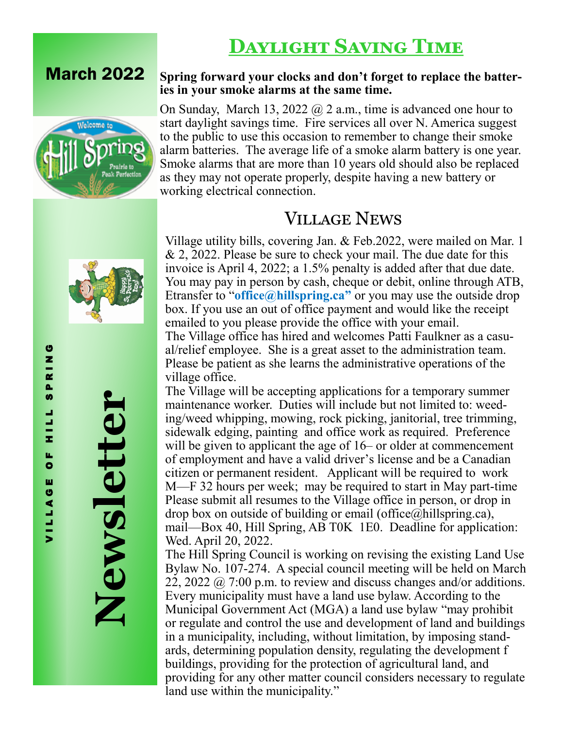# **Daylight Saving Time**





**Newsletter**

### **Spring forward your clocks and don't forget to replace the batteries in your smoke alarms at the same time.**

On Sunday, March 13, 2022 @ 2 a.m., time is advanced one hour to start daylight savings time. Fire services all over N. America suggest to the public to use this occasion to remember to change their smoke alarm batteries. The average life of a smoke alarm battery is one year. Smoke alarms that are more than 10 years old should also be replaced as they may not operate properly, despite having a new battery or working electrical connection.

## Village News

Village utility bills, covering Jan. & Feb.2022, were mailed on Mar. 1 & 2, 2022. Please be sure to check your mail. The due date for this invoice is April 4, 2022; a 1.5% penalty is added after that due date. You may pay in person by cash, cheque or debit, online through ATB, Etransfer to "**office@hillspring.ca"** or you may use the outside drop box. If you use an out of office payment and would like the receipt emailed to you please provide the office with your email. The Village office has hired and welcomes Patti Faulkner as a casual/relief employee. She is a great asset to the administration team. Please be patient as she learns the administrative operations of the village office.

The Village will be accepting applications for a temporary summer maintenance worker. Duties will include but not limited to: weeding/weed whipping, mowing, rock picking, janitorial, tree trimming, sidewalk edging, painting and office work as required. Preference will be given to applicant the age of 16– or older at commencement of employment and have a valid driver's license and be a Canadian citizen or permanent resident. Applicant will be required to work M—F 32 hours per week; may be required to start in May part-time Please submit all resumes to the Village office in person, or drop in drop box on outside of building or email (office $(\alpha)$ hillspring.ca), mail—Box 40, Hill Spring, AB T0K 1E0. Deadline for application: Wed. April 20, 2022.

The Hill Spring Council is working on revising the existing Land Use Bylaw No. 107-274. A special council meeting will be held on March 22, 2022  $\omega$  7:00 p.m. to review and discuss changes and/or additions. Every municipality must have a land use bylaw. According to the Municipal Government Act (MGA) a land use bylaw "may prohibit or regulate and control the use and development of land and buildings in a municipality, including, without limitation, by imposing standards, determining population density, regulating the development f buildings, providing for the protection of agricultural land, and providing for any other matter council considers necessary to regulate land use within the municipality."